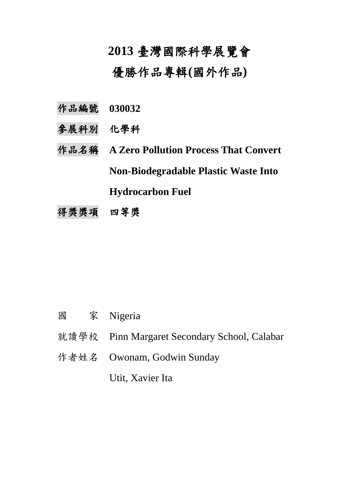## **2013** 臺灣國際科學展覽會

優勝作品專輯**(**國外作品**)**

- 作品編號 **030032**
- 參展科別 化學科
- 作品名稱 **A Zero Pollution Process That Convert Non-Biodegradable Plastic Waste Into Hydrocarbon Fuel**
- 得獎獎項 四等獎

- 國 家 Nigeria
- 就讀學校 Pinn Margaret Secondary School, Calabar
- 作者姓名 Owonam, Godwin Sunday

Utit, Xavier Ita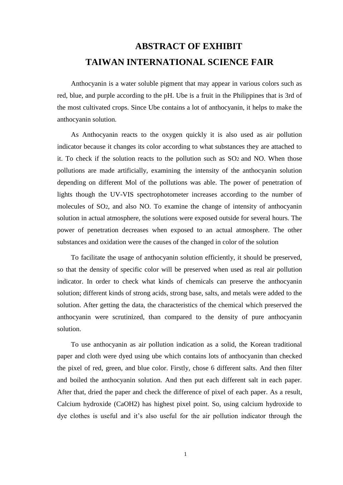## **ABSTRACT OF EXHIBIT TAIWAN INTERNATIONAL SCIENCE FAIR**

Anthocyanin is a water soluble pigment that may appear in various colors such as red, blue, and purple according to the pH. Ube is a fruit in the Philippines that is 3rd of the most cultivated crops. Since Ube contains a lot of anthocyanin, it helps to make the anthocyanin solution.

As Anthocyanin reacts to the oxygen quickly it is also used as air pollution indicator because it changes its color according to what substances they are attached to it. To check if the solution reacts to the pollution such as SO2 and NO. When those pollutions are made artificially, examining the intensity of the anthocyanin solution depending on different Mol of the pollutions was able. The power of penetration of lights though the UV-VIS spectrophotometer increases according to the number of molecules of SO2, and also NO. To examine the change of intensity of anthocyanin solution in actual atmosphere, the solutions were exposed outside for several hours. The power of penetration decreases when exposed to an actual atmosphere. The other substances and oxidation were the causes of the changed in color of the solution

To facilitate the usage of anthocyanin solution efficiently, it should be preserved, so that the density of specific color will be preserved when used as real air pollution indicator. In order to check what kinds of chemicals can preserve the anthocyanin solution; different kinds of strong acids, strong base, salts, and metals were added to the solution. After getting the data, the characteristics of the chemical which preserved the anthocyanin were scrutinized, than compared to the density of pure anthocyanin solution.

To use anthocyanin as air pollution indication as a solid, the Korean traditional paper and cloth were dyed using ube which contains lots of anthocyanin than checked the pixel of red, green, and blue color. Firstly, chose 6 different salts. And then filter and boiled the anthocyanin solution. And then put each different salt in each paper. After that, dried the paper and check the difference of pixel of each paper. As a result, Calcium hydroxide (CaOH2) has highest pixel point. So, using calcium hydroxide to dye clothes is useful and it's also useful for the air pollution indicator through the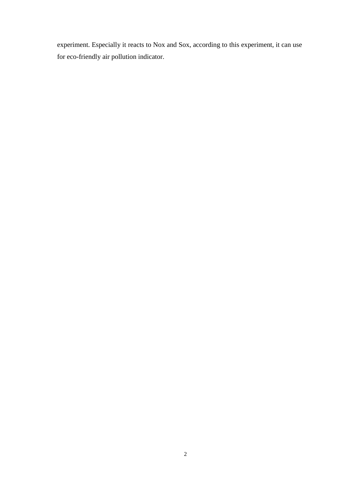experiment. Especially it reacts to Nox and Sox, according to this experiment, it can use for eco-friendly air pollution indicator.